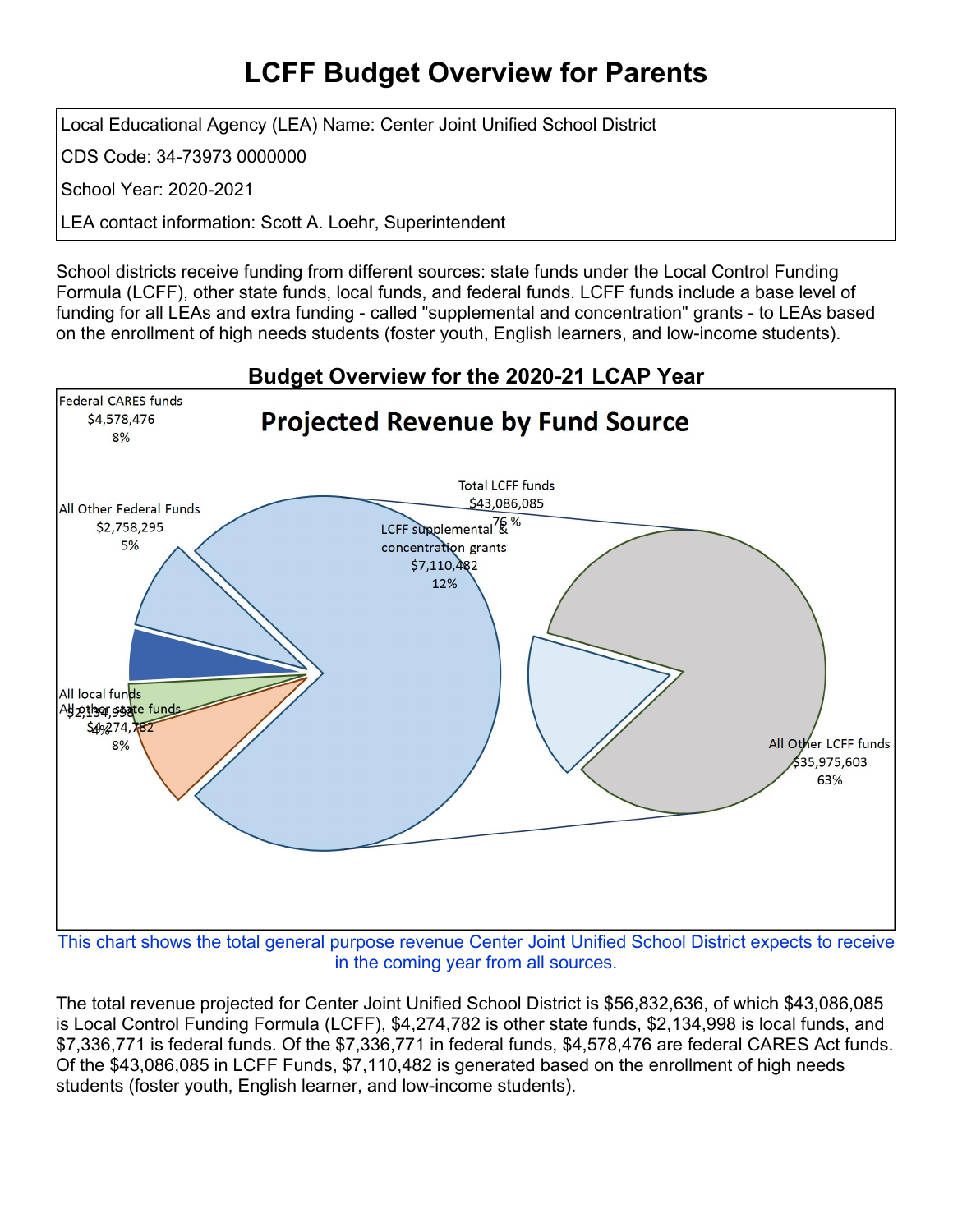## **LCFF Budget Overview for Parents**

Local Educational Agency (LEA) Name: Center Joint Unified School District

CDS Code: 34-73973 0000000

School Year: 2020-2021

LEA contact information: Scott A. Loehr, Superintendent

School districts receive funding from different sources: state funds under the Local Control Funding Formula (LCFF), other state funds, local funds, and federal funds. LCFF funds include a base level of funding for all LEAs and extra funding - called "supplemental and concentration" grants - to LEAs based on the enrollment of high needs students (foster youth, English learners, and low-income students).



in the coming year from all sources.

The total revenue projected for Center Joint Unified School District is \$56,832,636, of which \$43,086,085 is Local Control Funding Formula (LCFF), \$4,274,782 is other state funds, \$2,134,998 is local funds, and \$7,336,771 is federal funds. Of the \$7,336,771 in federal funds, \$4,578,476 are federal CARES Act funds. Of the \$43,086,085 in LCFF Funds, \$7,110,482 is generated based on the enrollment of high needs students (foster youth, English learner, and low-income students).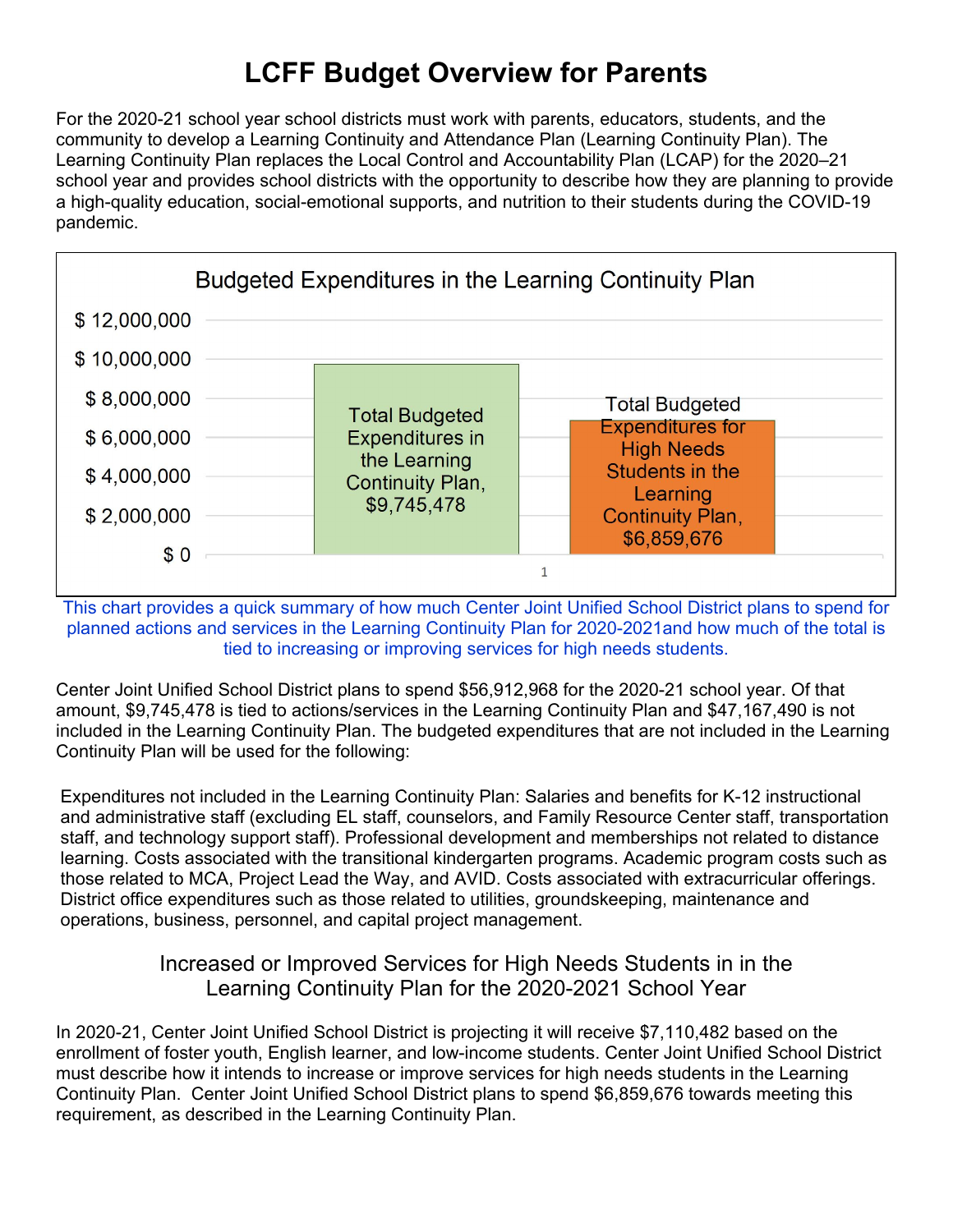# **LCFF Budget Overview for Parents**

For the 2020-21 school year school districts must work with parents, educators, students, and the community to develop a Learning Continuity and Attendance Plan (Learning Continuity Plan). The Learning Continuity Plan replaces the Local Control and Accountability Plan (LCAP) for the 2020–21 school year and provides school districts with the opportunity to describe how they are planning to provide a high-quality education, social-emotional supports, and nutrition to their students during the COVID-19 pandemic.



This chart provides a quick summary of how much Center Joint Unified School District plans to spend for planned actions and services in the Learning Continuity Plan for 2020-2021and how much of the total is tied to increasing or improving services for high needs students.

Center Joint Unified School District plans to spend \$56,912,968 for the 2020-21 school year. Of that amount, \$9,745,478 is tied to actions/services in the Learning Continuity Plan and \$47,167,490 is not included in the Learning Continuity Plan. The budgeted expenditures that are not included in the Learning Continuity Plan will be used for the following:

Expenditures not included in the Learning Continuity Plan: Salaries and benefits for K-12 instructional and administrative staff (excluding EL staff, counselors, and Family Resource Center staff, transportation staff, and technology support staff). Professional development and memberships not related to distance learning. Costs associated with the transitional kindergarten programs. Academic program costs such as those related to MCA, Project Lead the Way, and AVID. Costs associated with extracurricular offerings. District office expenditures such as those related to utilities, groundskeeping, maintenance and operations, business, personnel, and capital project management.

#### Increased or Improved Services for High Needs Students in in the Learning Continuity Plan for the 2020-2021 School Year

In 2020-21, Center Joint Unified School District is projecting it will receive \$7,110,482 based on the enrollment of foster youth, English learner, and low-income students. Center Joint Unified School District must describe how it intends to increase or improve services for high needs students in the Learning Continuity Plan. Center Joint Unified School District plans to spend \$6,859,676 towards meeting this requirement, as described in the Learning Continuity Plan.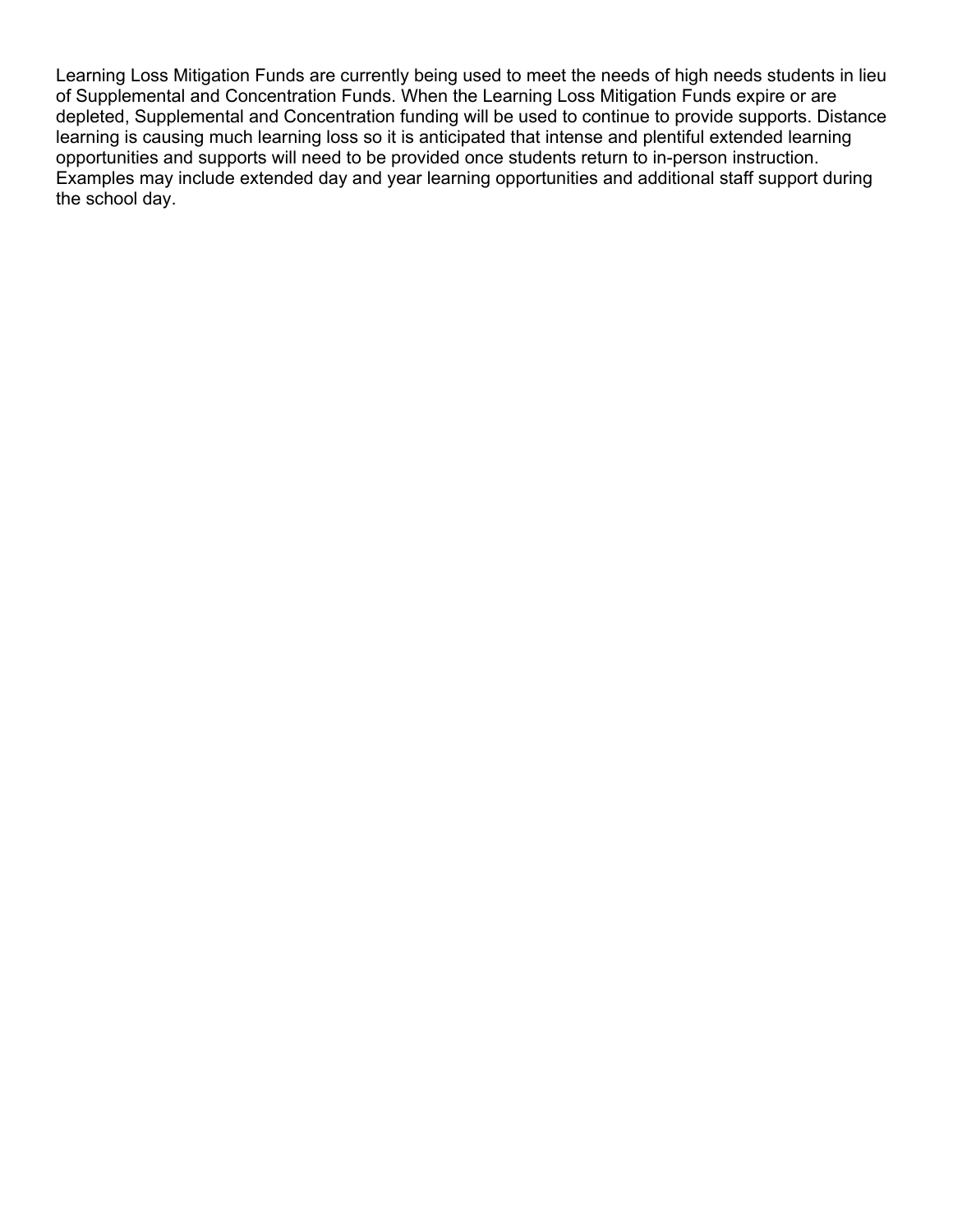Learning Loss Mitigation Funds are currently being used to meet the needs of high needs students in lieu of Supplemental and Concentration Funds. When the Learning Loss Mitigation Funds expire or are depleted, Supplemental and Concentration funding will be used to continue to provide supports. Distance learning is causing much learning loss so it is anticipated that intense and plentiful extended learning opportunities and supports will need to be provided once students return to in-person instruction. Examples may include extended day and year learning opportunities and additional staff support during the school day.